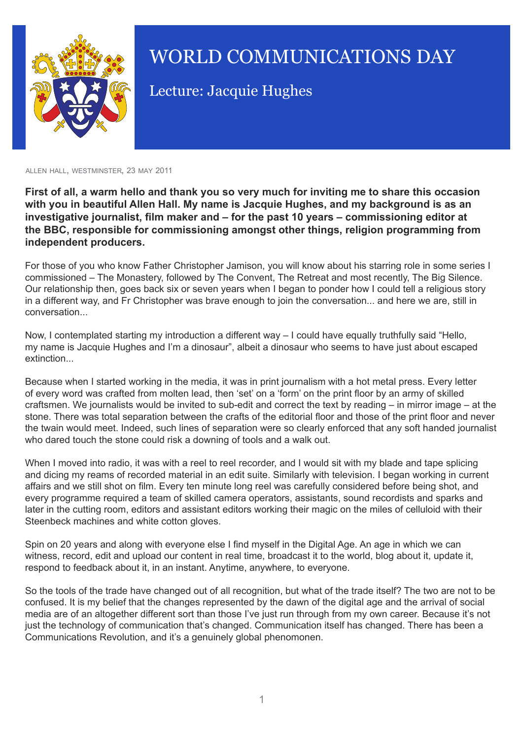

## WORLD COMMUNICATIONS DAY

Lecture: Jacquie Hughes

allen hall, westminster, 23 may 2011

**First of all, a warm hello and thank you so very much for inviting me to share this occasion with you in beautiful Allen Hall. My name is Jacquie Hughes, and my background is as an investigative journalist, film maker and – for the past 10 years – commissioning editor at the BBC, responsible for commissioning amongst other things, religion programming from independent producers.**

For those of you who know Father Christopher Jamison, you will know about his starring role in some series I commissioned – The Monastery, followed by The Convent, The Retreat and most recently, The Big Silence. Our relationship then, goes back six or seven years when I began to ponder how I could tell a religious story in a different way, and Fr Christopher was brave enough to join the conversation... and here we are, still in conversation...

Now, I contemplated starting my introduction a different way – I could have equally truthfully said "Hello, my name is Jacquie Hughes and I'm a dinosaur", albeit a dinosaur who seems to have just about escaped extinction...

Because when I started working in the media, it was in print journalism with a hot metal press. Every letter of every word was crafted from molten lead, then 'set' on a 'form' on the print floor by an army of skilled craftsmen. We journalists would be invited to sub-edit and correct the text by reading – in mirror image – at the stone. There was total separation between the crafts of the editorial floor and those of the print floor and never the twain would meet. Indeed, such lines of separation were so clearly enforced that any soft handed journalist who dared touch the stone could risk a downing of tools and a walk out.

When I moved into radio, it was with a reel to reel recorder, and I would sit with my blade and tape splicing and dicing my reams of recorded material in an edit suite. Similarly with television. I began working in current affairs and we still shot on film. Every ten minute long reel was carefully considered before being shot, and every programme required a team of skilled camera operators, assistants, sound recordists and sparks and later in the cutting room, editors and assistant editors working their magic on the miles of celluloid with their Steenbeck machines and white cotton gloves.

Spin on 20 years and along with everyone else I find myself in the Digital Age. An age in which we can witness, record, edit and upload our content in real time, broadcast it to the world, blog about it, update it, respond to feedback about it, in an instant. Anytime, anywhere, to everyone.

So the tools of the trade have changed out of all recognition, but what of the trade itself? The two are not to be confused. It is my belief that the changes represented by the dawn of the digital age and the arrival of social media are of an altogether different sort than those I've just run through from my own career. Because it's not just the technology of communication that's changed. Communication itself has changed. There has been a Communications Revolution, and it's a genuinely global phenomonen.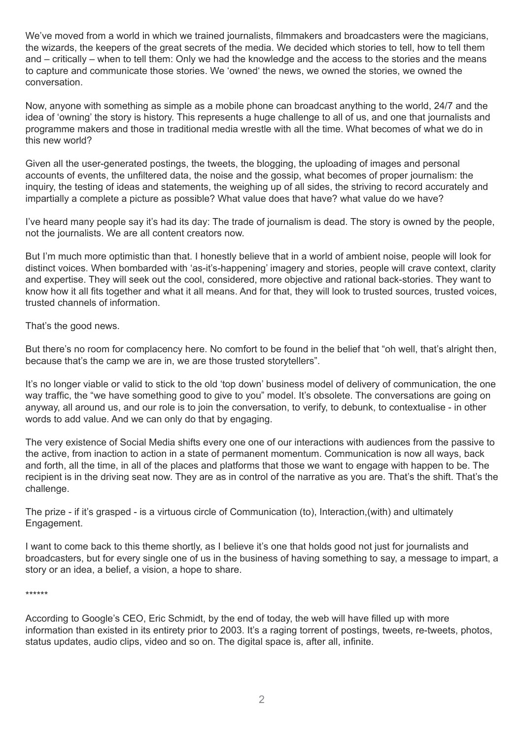We've moved from a world in which we trained journalists, filmmakers and broadcasters were the magicians, the wizards, the keepers of the great secrets of the media. We decided which stories to tell, how to tell them and – critically – when to tell them: Only we had the knowledge and the access to the stories and the means to capture and communicate those stories. We 'owned' the news, we owned the stories, we owned the conversation.

Now, anyone with something as simple as a mobile phone can broadcast anything to the world, 24/7 and the idea of 'owning' the story is history. This represents a huge challenge to all of us, and one that journalists and programme makers and those in traditional media wrestle with all the time. What becomes of what we do in this new world?

Given all the user-generated postings, the tweets, the blogging, the uploading of images and personal accounts of events, the unfiltered data, the noise and the gossip, what becomes of proper journalism: the inquiry, the testing of ideas and statements, the weighing up of all sides, the striving to record accurately and impartially a complete a picture as possible? What value does that have? what value do we have?

I've heard many people say it's had its day: The trade of journalism is dead. The story is owned by the people, not the journalists. We are all content creators now.

But I'm much more optimistic than that. I honestly believe that in a world of ambient noise, people will look for distinct voices. When bombarded with 'as-it's-happening' imagery and stories, people will crave context, clarity and expertise. They will seek out the cool, considered, more objective and rational back-stories. They want to know how it all fits together and what it all means. And for that, they will look to trusted sources, trusted voices, trusted channels of information.

That's the good news.

But there's no room for complacency here. No comfort to be found in the belief that "oh well, that's alright then, because that's the camp we are in, we are those trusted storytellers".

It's no longer viable or valid to stick to the old 'top down' business model of delivery of communication, the one way traffic, the "we have something good to give to you" model. It's obsolete. The conversations are going on anyway, all around us, and our role is to join the conversation, to verify, to debunk, to contextualise - in other words to add value. And we can only do that by engaging.

The very existence of Social Media shifts every one one of our interactions with audiences from the passive to the active, from inaction to action in a state of permanent momentum. Communication is now all ways, back and forth, all the time, in all of the places and platforms that those we want to engage with happen to be. The recipient is in the driving seat now. They are as in control of the narrative as you are. That's the shift. That's the challenge.

The prize - if it's grasped - is a virtuous circle of Communication (to), Interaction,(with) and ultimately Engagement.

I want to come back to this theme shortly, as I believe it's one that holds good not just for journalists and broadcasters, but for every single one of us in the business of having something to say, a message to impart, a story or an idea, a belief, a vision, a hope to share.

\*\*\*\*\*\*

According to Google's CEO, Eric Schmidt, by the end of today, the web will have filled up with more information than existed in its entirety prior to 2003. It's a raging torrent of postings, tweets, re-tweets, photos, status updates, audio clips, video and so on. The digital space is, after all, infinite.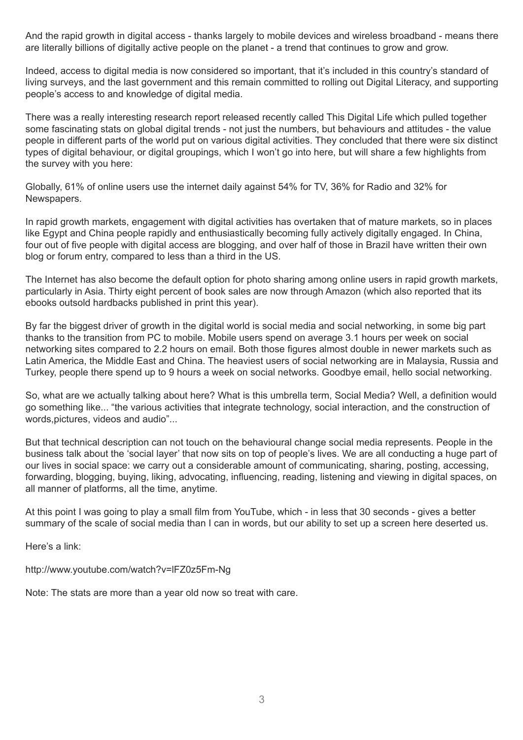And the rapid growth in digital access - thanks largely to mobile devices and wireless broadband - means there are literally billions of digitally active people on the planet - a trend that continues to grow and grow.

Indeed, access to digital media is now considered so important, that it's included in this country's standard of living surveys, and the last government and this remain committed to rolling out Digital Literacy, and supporting people's access to and knowledge of digital media.

There was a really interesting research report released recently called This Digital Life which pulled together some fascinating stats on global digital trends - not just the numbers, but behaviours and attitudes - the value people in different parts of the world put on various digital activities. They concluded that there were six distinct types of digital behaviour, or digital groupings, which I won't go into here, but will share a few highlights from the survey with you here:

Globally, 61% of online users use the internet daily against 54% for TV, 36% for Radio and 32% for Newspapers.

In rapid growth markets, engagement with digital activities has overtaken that of mature markets, so in places like Egypt and China people rapidly and enthusiastically becoming fully actively digitally engaged. In China, four out of five people with digital access are blogging, and over half of those in Brazil have written their own blog or forum entry, compared to less than a third in the US.

The Internet has also become the default option for photo sharing among online users in rapid growth markets, particularly in Asia. Thirty eight percent of book sales are now through Amazon (which also reported that its ebooks outsold hardbacks published in print this year).

By far the biggest driver of growth in the digital world is social media and social networking, in some big part thanks to the transition from PC to mobile. Mobile users spend on average 3.1 hours per week on social networking sites compared to 2.2 hours on email. Both those figures almost double in newer markets such as Latin America, the Middle East and China. The heaviest users of social networking are in Malaysia, Russia and Turkey, people there spend up to 9 hours a week on social networks. Goodbye email, hello social networking.

So, what are we actually talking about here? What is this umbrella term, Social Media? Well, a definition would go something like... "the various activities that integrate technology, social interaction, and the construction of words, pictures, videos and audio"...

But that technical description can not touch on the behavioural change social media represents. People in the business talk about the 'social layer' that now sits on top of people's lives. We are all conducting a huge part of our lives in social space: we carry out a considerable amount of communicating, sharing, posting, accessing, forwarding, blogging, buying, liking, advocating, influencing, reading, listening and viewing in digital spaces, on all manner of platforms, all the time, anytime.

At this point I was going to play a small film from YouTube, which - in less that 30 seconds - gives a better summary of the scale of social media than I can in words, but our ability to set up a screen here deserted us.

Here's a link:

http://www.youtube.com/watch?v=lFZ0z5Fm-Ng

Note: The stats are more than a year old now so treat with care.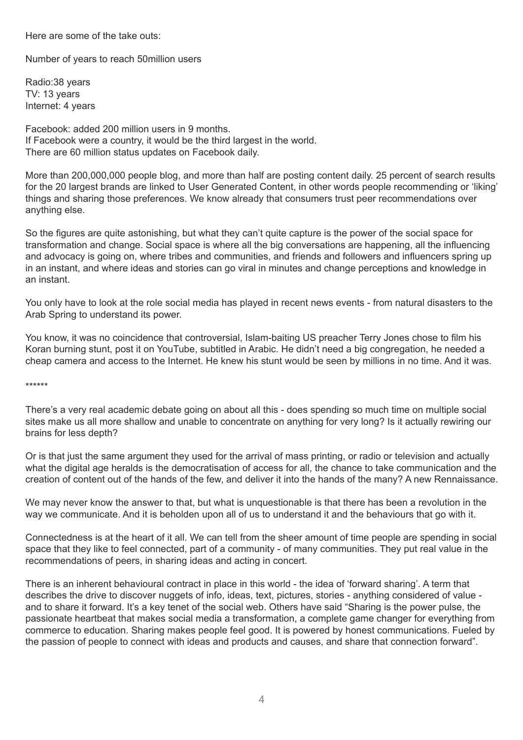Here are some of the take outs:

Number of years to reach 50million users

Radio:38 years TV: 13 years Internet: 4 years

Facebook: added 200 million users in 9 months. If Facebook were a country, it would be the third largest in the world. There are 60 million status updates on Facebook daily.

More than 200,000,000 people blog, and more than half are posting content daily. 25 percent of search results for the 20 largest brands are linked to User Generated Content, in other words people recommending or 'liking' things and sharing those preferences. We know already that consumers trust peer recommendations over anything else.

So the figures are quite astonishing, but what they can't quite capture is the power of the social space for transformation and change. Social space is where all the big conversations are happening, all the influencing and advocacy is going on, where tribes and communities, and friends and followers and influencers spring up in an instant, and where ideas and stories can go viral in minutes and change perceptions and knowledge in an instant.

You only have to look at the role social media has played in recent news events - from natural disasters to the Arab Spring to understand its power.

You know, it was no coincidence that controversial, Islam-baiting US preacher Terry Jones chose to film his Koran burning stunt, post it on YouTube, subtitled in Arabic. He didn't need a big congregation, he needed a cheap camera and access to the Internet. He knew his stunt would be seen by millions in no time. And it was.

\*\*\*\*\*\*

There's a very real academic debate going on about all this - does spending so much time on multiple social sites make us all more shallow and unable to concentrate on anything for very long? Is it actually rewiring our brains for less depth?

Or is that just the same argument they used for the arrival of mass printing, or radio or television and actually what the digital age heralds is the democratisation of access for all, the chance to take communication and the creation of content out of the hands of the few, and deliver it into the hands of the many? A new Rennaissance.

We may never know the answer to that, but what is unquestionable is that there has been a revolution in the way we communicate. And it is beholden upon all of us to understand it and the behaviours that go with it.

Connectedness is at the heart of it all. We can tell from the sheer amount of time people are spending in social space that they like to feel connected, part of a community - of many communities. They put real value in the recommendations of peers, in sharing ideas and acting in concert.

There is an inherent behavioural contract in place in this world - the idea of 'forward sharing'. A term that describes the drive to discover nuggets of info, ideas, text, pictures, stories - anything considered of value and to share it forward. It's a key tenet of the social web. Others have said "Sharing is the power pulse, the passionate heartbeat that makes social media a transformation, a complete game changer for everything from commerce to education. Sharing makes people feel good. It is powered by honest communications. Fueled by the passion of people to connect with ideas and products and causes, and share that connection forward".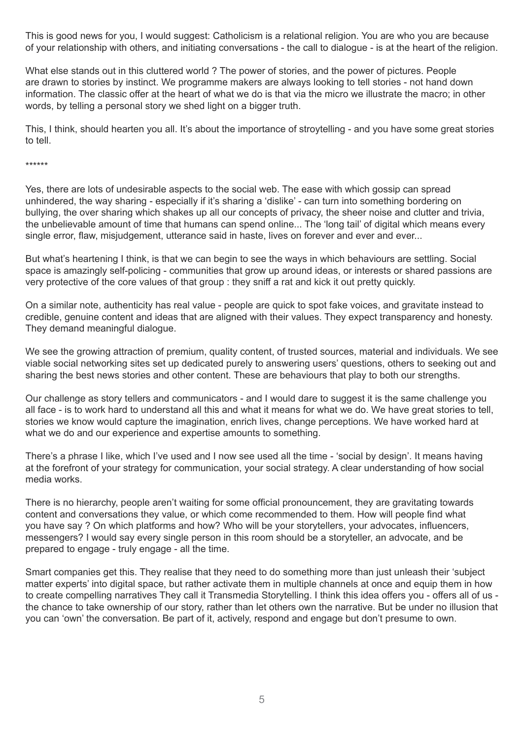This is good news for you, I would suggest: Catholicism is a relational religion. You are who you are because of your relationship with others, and initiating conversations - the call to dialogue - is at the heart of the religion.

What else stands out in this cluttered world ? The power of stories, and the power of pictures. People are drawn to stories by instinct. We programme makers are always looking to tell stories - not hand down information. The classic offer at the heart of what we do is that via the micro we illustrate the macro; in other words, by telling a personal story we shed light on a bigger truth.

This, I think, should hearten you all. It's about the importance of stroytelling - and you have some great stories to tell.

\*\*\*\*\*\*

Yes, there are lots of undesirable aspects to the social web. The ease with which gossip can spread unhindered, the way sharing - especially if it's sharing a 'dislike' - can turn into something bordering on bullying, the over sharing which shakes up all our concepts of privacy, the sheer noise and clutter and trivia, the unbelievable amount of time that humans can spend online... The 'long tail' of digital which means every single error, flaw, misjudgement, utterance said in haste, lives on forever and ever and ever...

But what's heartening I think, is that we can begin to see the ways in which behaviours are settling. Social space is amazingly self-policing - communities that grow up around ideas, or interests or shared passions are very protective of the core values of that group : they sniff a rat and kick it out pretty quickly.

On a similar note, authenticity has real value - people are quick to spot fake voices, and gravitate instead to credible, genuine content and ideas that are aligned with their values. They expect transparency and honesty. They demand meaningful dialogue.

We see the growing attraction of premium, quality content, of trusted sources, material and individuals. We see viable social networking sites set up dedicated purely to answering users' questions, others to seeking out and sharing the best news stories and other content. These are behaviours that play to both our strengths.

Our challenge as story tellers and communicators - and I would dare to suggest it is the same challenge you all face - is to work hard to understand all this and what it means for what we do. We have great stories to tell, stories we know would capture the imagination, enrich lives, change perceptions. We have worked hard at what we do and our experience and expertise amounts to something.

There's a phrase I like, which I've used and I now see used all the time - 'social by design'. It means having at the forefront of your strategy for communication, your social strategy. A clear understanding of how social media works.

There is no hierarchy, people aren't waiting for some official pronouncement, they are gravitating towards content and conversations they value, or which come recommended to them. How will people find what you have say ? On which platforms and how? Who will be your storytellers, your advocates, influencers, messengers? I would say every single person in this room should be a storyteller, an advocate, and be prepared to engage - truly engage - all the time.

Smart companies get this. They realise that they need to do something more than just unleash their 'subject matter experts' into digital space, but rather activate them in multiple channels at once and equip them in how to create compelling narratives They call it Transmedia Storytelling. I think this idea offers you - offers all of us the chance to take ownership of our story, rather than let others own the narrative. But be under no illusion that you can 'own' the conversation. Be part of it, actively, respond and engage but don't presume to own.